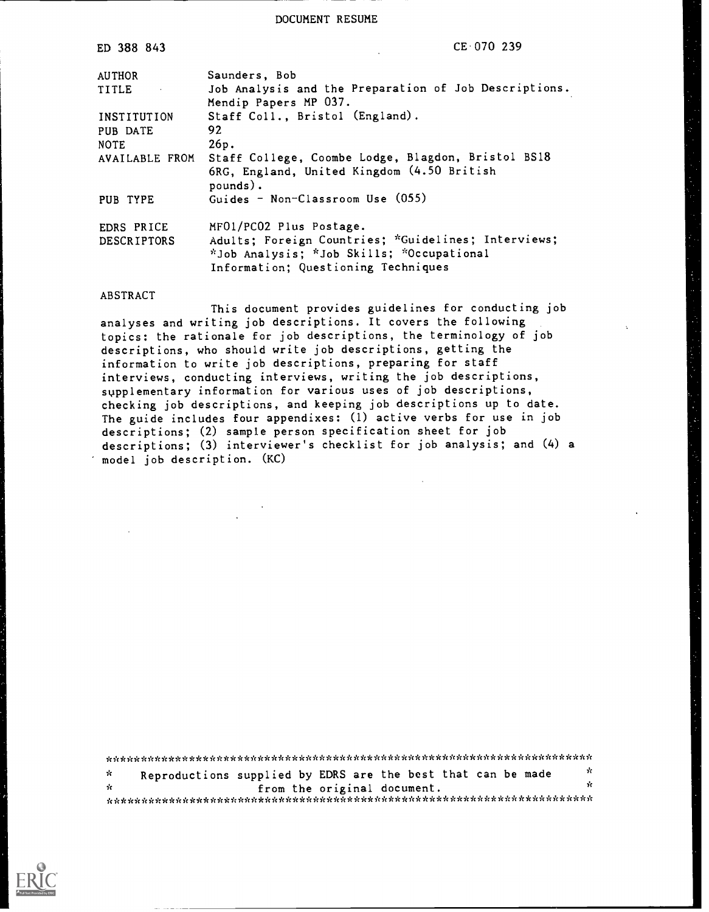DOCUMENT RESUME

| ED 388 843                | CE 070 239                                                                                                                                                         |
|---------------------------|--------------------------------------------------------------------------------------------------------------------------------------------------------------------|
| <b>AUTHOR</b>             | Saunders, Bob                                                                                                                                                      |
| TITLE T                   | Job Analysis and the Preparation of Job Descriptions.<br>Mendip Papers MP 037.                                                                                     |
| INSTITUTION               | Staff Coll., Bristol (England).                                                                                                                                    |
| PUB DATE                  | 92                                                                                                                                                                 |
| <b>NOTE</b>               | 26p.                                                                                                                                                               |
| AVAILABLE FROM            | Staff College, Coombe Lodge, Blagdon, Bristol BS18<br>6RG, England, United Kingdom (4.50 British<br>pounds).                                                       |
| PUB TYPE                  | Guides - Non-Classroom Use (055)                                                                                                                                   |
| EDRS PRICE<br>DESCRIPTORS | MF01/PC02 Plus Postage.<br>Adults: Foreign Countries; *Guidelines; Interviews;<br>*Job Analysis; *Job Skills; *Occupational<br>Information; Questioning Techniques |

#### ABSTRACT

This document provides guidelines for conducting job analyses and writing job descriptions. It covers the following topics: the rationale for job descriptions, the terminology of job descriptions, who should write job descriptions, getting the information to write job descriptions, preparing for staff interviews, conducting interviews, writing the job descriptions, supplementary information for various uses of job descriptions, checking job descriptions, and keeping job descriptions up to date. The guide includes four appendixes: (1) active verbs for use in job descriptions; (2) sample person specification sheet for job descriptions; (3) interviewer's checklist for job analysis; and (4) <sup>a</sup> model job description. (KC)

\*\*\*\*\*\*\*\*\*\*\*\*\*\*\*\*\*\*\*\*\*\*\*\*\*\*\*\*\*\*\*\*\*\*\*\*\*\*\*\*\*\*\*\*\*\*\*\*\*\*\*\*\*\*\*\*\*\*\*\*\*\*\*\*\*\*\*\*\*\*\* Reproductions supplied by EDRS are the best that can be made  $\frac{x}{x}$  $\dot{\mathbf{x}}$ from the original document. \*\*\*\*\*\*\*\*\*\*\*\*\*\*\*\*\*\*\*\*\*\*\*\*\*\*\*\*\*\*\*\*\*\*\*\*\*\*\*\*\*\*\*\*\*\*\*\*\*\*\*\*\*\*\*\*\*\*\*\*\*\*\*\*\*\*\*\*\*\*\*

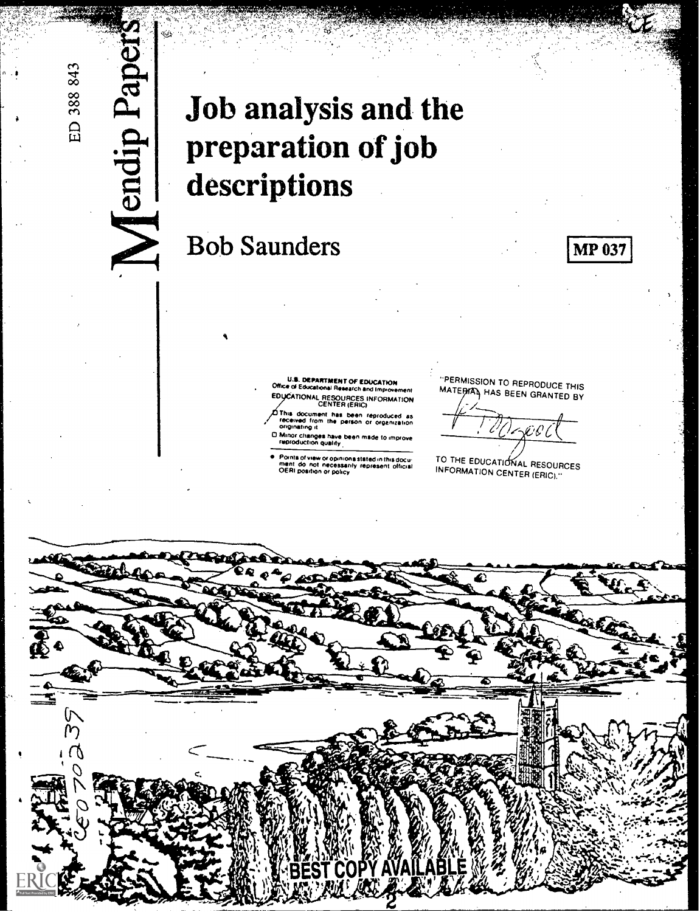# $\frac{d}{d}$   $\frac{d}{d}$   $\frac{d}{d}$  Job analysis and the preparation of job<br>descriptions<br> $\sum$  Bob Saunders preparation of job descriptions

# Bob Saunders

.፣

U.1. DEPARTMENT OF EDUCATION Office al Educational Research and Improvement MAT<br>EDUCATIONAL RESOURCES INFORMATION CENTER (ERIC)

This document has been reproduced as recerved from the perSOn or orgemzetoon ovoinateng a

or ensuring is<br>0 Minor changes have been made to improve<br>reproduction quality

Points of view or opinions stated in this docu.<br>ment: do: not: necessarily represent: official<br>OERI position or policy

"PERMISSION TO REPRODUCE THIS<br>MATE<del>RIA</del> HAS BEEN GRANTED BY

**MP 037** 

 $\mathscr{C}$ 

TO THE EDUCATIONAL RESOURCES INFORMATION CENTER (ERIC)."

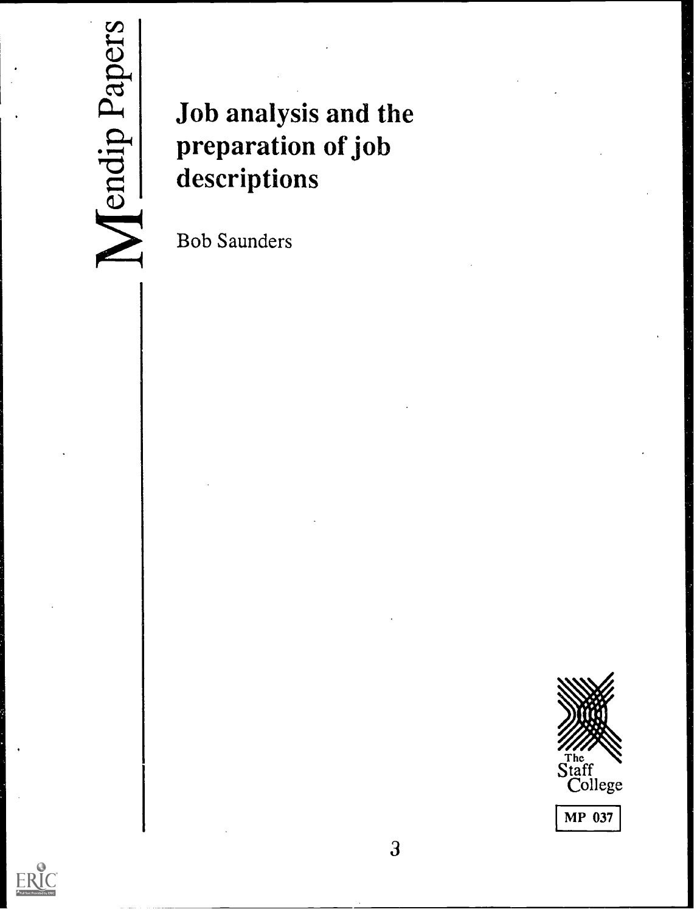

# Job analysis and the preparation of job descriptions

Bob Saunders



3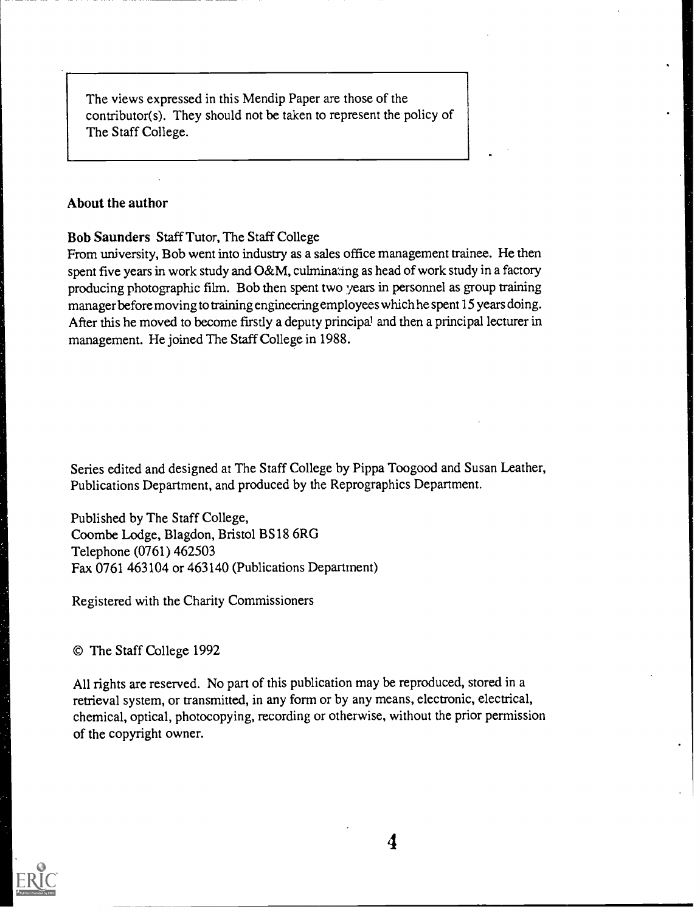The views expressed in this Mendip Paper are those of the contributor(s). They should not be taken to represent the policy of The Staff College.

#### About the author

#### Bob Saunders Staff Tutor, The Staff College

From university, Bob went into industry as a sales office management trainee. He then spent five years in work study and O&M, culminating as head of work study in a factory producing photographic film. Bob then spent two years in personnel as group training manager before moving to training engineering employees which he spent 15 years doing. After this he moved to become firstly a deputy principal and then a principal lecturer in management. He joined The Staff College in 1988.

Series edited and designed at The Staff College by Pippa Toogood and Susan Leather, Publications Department, and produced by the Reprographics Department.

Published by The Staff College, Coombe Lodge, Blagdon, Bristol BS18 6RG Telephone (0761) 462503 Fax 0761 463104 or 463140 (Publications Department)

Registered with the Charity Commissioners

© The Staff College 1992

All rights are reserved. No part of this publication may be reproduced, stored in a retrieval system, or transmitted, in any form or by any means, electronic, electrical, chemical, optical, photocopying, recording or otherwise, without the prior permission of the copyright owner.

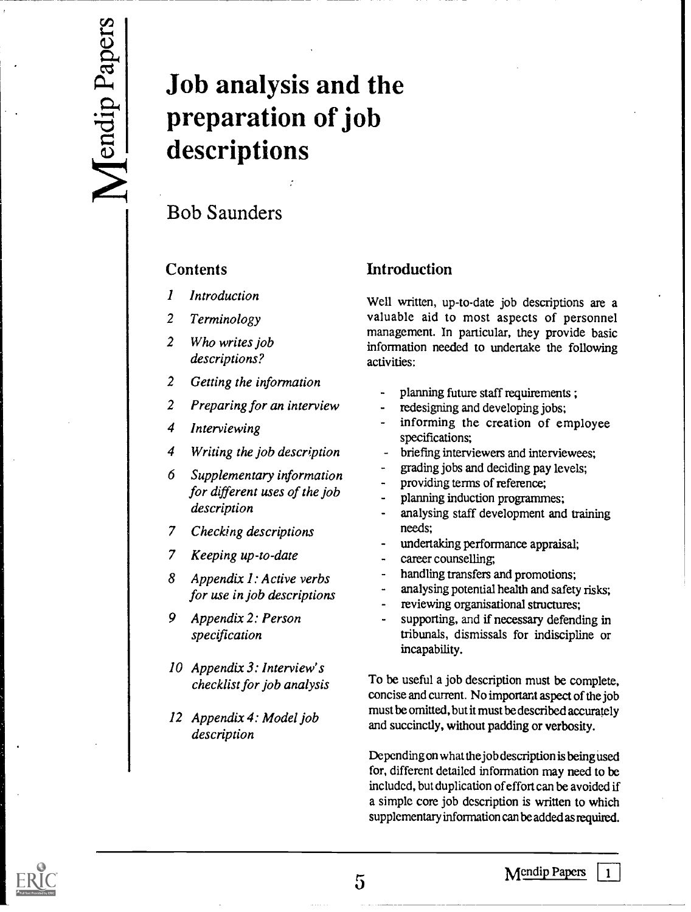# Job analysis and the preparation of job descriptions

## Bob Saunders

#### **Contents**

- 1 Introduction
- 2 Terminology
- 2 Who writes job descriptions?
- 2 Getting the information
- 2 Preparing for an interview
- 4 Interviewing
- 4 Writing the job description
- 6 Supplementary information for different uses of the job description
- 7 Checking descriptions
- 7 Keeping up-to-date
- 8 Appendix 1: Active verbs for use in job descriptions
- 9 Appendix 2: Person specification
- 10 Appendix 3: Interview's checklist for job analysis
- 12 Appendix 4: Model job description

#### Introduction

Well written, up-to-date job descriptions are a valuable aid to most aspects of personnel management. In particular, they provide basic information needed to undertake the following activities:

- planning future staff requirements ;
- redesigning and developing jobs;
- informing the creation of employee specifications;
- briefing interviewers and interviewees;
- grading jobs and deciding pay levels;
- providing terms of reference;
- planning induction programmes;
- analysing staff development and training needs;
- undertaking performance appraisal;
- career counselling,
- handling transfers and promotions;
- analysing potential health and safety risks;
- reviewing organisational structures;
- supporting, and if necessary defending in tribunals, dismissals for indiscipline or incapability.

To be useful a job description must be complete, concise and current. No important aspect of the job must be omitted, but it must be described accurately and succinctly, without padding or verbosity.

Depending on what the job description is being used for, different detailed information may need to be included, but duplication of effort can be avoided if a simple core job description is written to which supplementary information can be added as required.

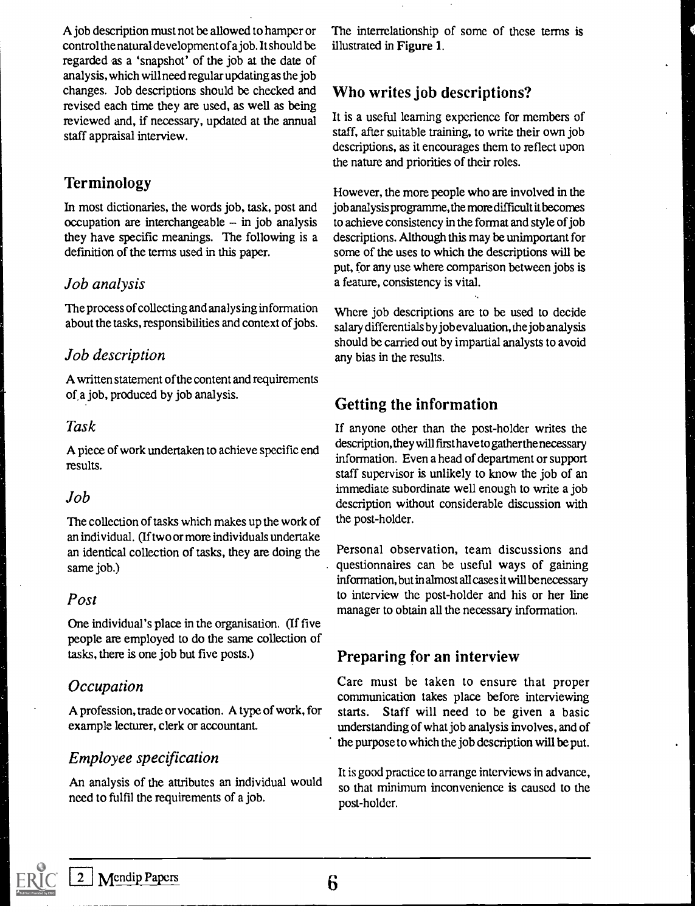A job description must not be allowed to hamper or control the natural development of a job. It should be regarded as a 'snapshot' of the job at the date of analysis, which will need regular updating as the job changes. Job descriptions should be checked and revised each time they are used, as well as being reviewed and, if necessary, updated at the annual staff appraisal interview.

#### Terminology

In most dictionaries, the words job, task, post and occupation are interchangeable  $-$  in job analysis they have specific meanings. The following is a definition of the terms used in this paper.

#### Job analysis

The process of collecting and analysing information about the tasks, responsibilities and context of jobs.

#### Job description

A written statement of the content and requirements of a job, produced by job analysis.

#### Task

A piece of work undertaken to achieve specific end results.

#### Job

The collection of tasks which makes up the work of an individual. (If two or more individuals undertake an identical collection of tasks, they are doing the same job.)

#### Post

One individual's place in the organisation. (If five people are employed to do the same collection of tasks, there is one job but five posts.)

#### **Occupation**

A profession, trade or vocation. A type of work, for example lecturer, clerk or accountant.

#### Employee specification

An analysis of the attributes an individual would need to fulfil the requirements of a job.

The interrelationship of some of these terms is illustrated in Figure 1.

#### Who writes job descriptions?

It is a useful learning experience for members of staff, after suitable training, to write their own job descriptions, as it encourages them to reflect upon the nature and priorities of their roles.

However, the more people who are involved in the job analysis programme, the more difficult it becomes to achieve consistency in the format and style of job descriptions. Although this may be unimportant for some of the uses to which the descriptions will be put, for any use where comparison between jobs is a feature, consistency is vital.

Where job descriptions are to be used to decide salary differentials by job evaluation, the job analysis should be carried out by impartial analysts to avoid any bias in the results.

#### Getting the information

If anyone other than the post-holder writes the description, they will first have to gather the necessary information. Even a head of department or support staff supervisor is unlikely to know the job of an immediate subordinate well enough to write a job description without considerable discussion with the post-holder.

Personal observation, team discussions and questionnaires can be useful ways of gaining information, but in almost all cases it will be necessary to interview the post-holder and his or her line manager to obtain all the necessary information.

#### Preparing for an interview

Care must be taken to ensure that proper communication takes place before interviewing starts. Staff will need to be given a basic understanding of what job analysis involves, and of the purpose to which the job description will be put.

It is good practice to arrange interviews in advance, so that minimum inconvenience is caused to the post-holder.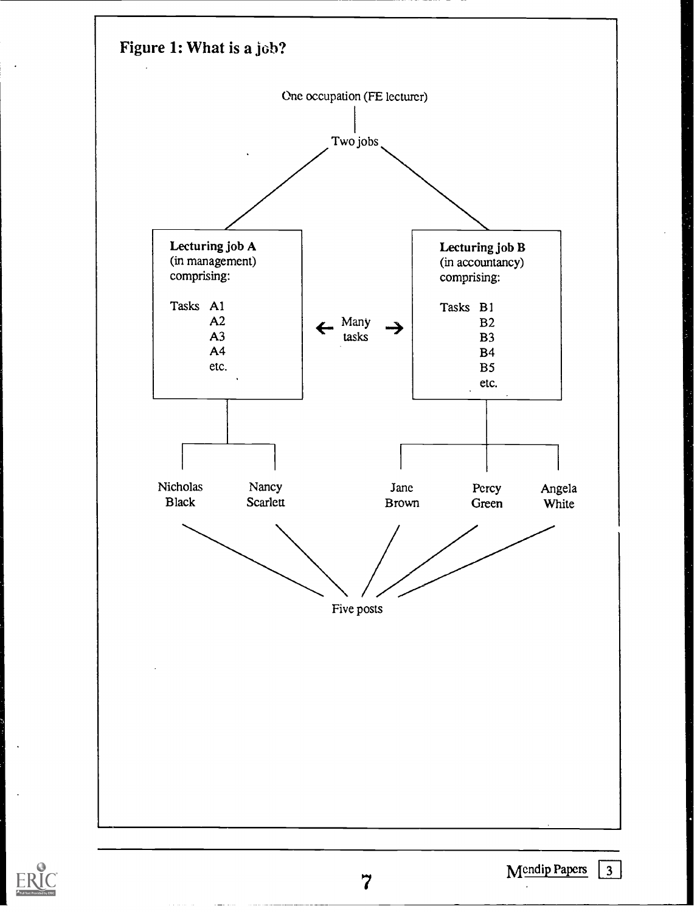

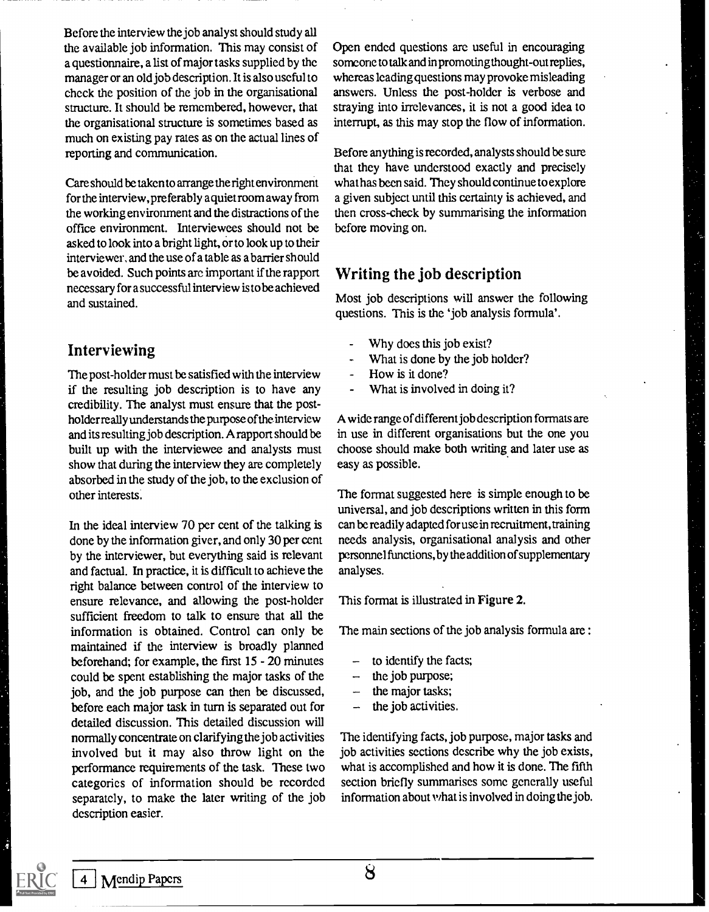Before the interview the job analyst should study all the available job information. This may consist of a questionnaire, a list of major tasks supplied by the manager or an old job description. It is also useful to check the position of the job in the organisational structure. It should be remembered, however, that. the organisational structure is sometimes based as much on existing pay rates as on the actual lines of reporting and communication.

Care should be taken to arrange the right environment for the interview, preferably a quiet room away from the working environment and the distractions of the office environment. Interviewees should not be asked to look into a bright light, or to look up to their interviewer, and the use of a table as a barrier should be avoided. Such points arc important if the rapport necessary for a successful interview is to be achieved and sustained.

#### Interviewing

The post-holder must be satisfied with the interview if the resulting job description is to have any credibility. The analyst must ensure that the postholder really understands the purpose of the interview and its resulting job description. A rapport should be built up with the interviewee and analysts must show that during the interview they are completely absorbed in the study of the job, to the exclusion of other interests.

In the ideal interview 70 per cent of the talking is done by the information giver, and only 30 per cent by the interviewer, but everything said is relevant and factual. In practice, it is difficult to achieve the right balance between control of the interview to ensure relevance, and allowing the post-holder sufficient freedom to talk to ensure that all the information is obtained. Control can only be maintained if the interview is broadly planned beforehand; for example, the first 15 - 20 minutes could be spent establishing the major tasks of the job, and the job purpose can then be discussed, before each major task in turn is separated out for detailed discussion. This detailed discussion will normally concentrate on clarifying the job activities involved but it may also throw light on the performance requirements of the task. These two categories of information should be rccordcd separately, to make the later writing of the job description easier.

Open ended questions are useful in encouraging someone to talk and in promoting thought-out replies, whereas leading questions may provoke misleading answers. Unless the post-holder is verbose and straying into irrelevances, it is not a good idea to interrupt, as this may stop the flow of information.

Before anything is recorded, analysts should be sure that they have understood exactly and precisely what has been said. They should continue to explore a given subject until this certainty is achieved, and then cross-check by summarising the information before moving on.

#### Writing the job description

Most job descriptions will answer the following questions. This is the 'job analysis formula'.

- Why does this job exist?
- What is done by the job holder?
- How is it done?
- What is involved in doing it?

A wide range of different job description formats are in use in different organisations but the one you choose should make both writing and later use as easy as possible.

The format suggested here is simple enough to be universal, and job descriptions written in this form can be readily adapted foruse in recruitment, training needs analysis, organisational analysis and other personnel functions, by the addition of supplementary analyses.

This format is illustrated in Figure 2.

The main sections of the job analysis formula are :

- to identify the facts;
- the job purpose;
- the major tasks;
- the job activities.

The identifying facts, job purpose, major tasks and job activities sections describe why the job exists, what is accomplished and how it is done. The fifth section briefly summarises some generally useful information about what is involved in doing the job.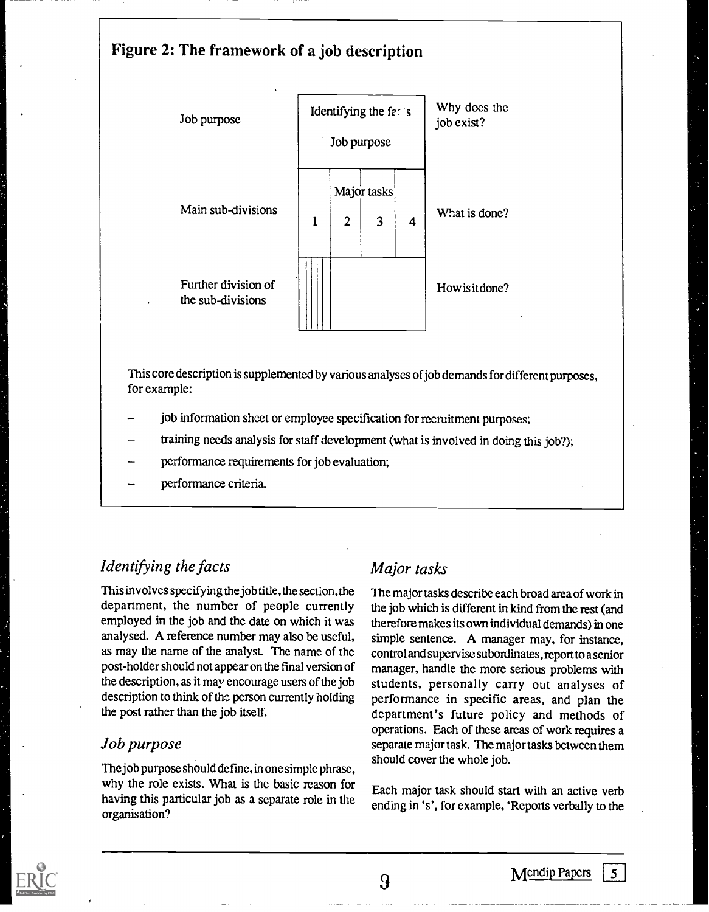#### Figure 2: The framework of a job description



This core description is supplemented by various analyses of job demands for different purposes, for example:

- job information sheet or employee specification for recruitment purposes;
- training needs analysis for staff development (what is involved in doing this job?);
- performance requirements for job evaluation;
- performance criteria.

#### Identifying the facts

This involves specifying the job title, the section, the department, the number of people currently employed in the job and the date on which it was analysed. A reference number may also be useful, as may the name of the analyst. The name of the post-holder should not appear on the final version of the description, as it may encourage users of the job description to think of the person currently holding the post rather than the job itself.

#### Job purpose

The job purpose should define, in one simple phrase, why the role exists. What is the basic reason for having this particular job as a separate role in the organisation?

#### Major tasks

The major tasks describe each broad area of work in the job which is different in kind from the rest (and therefore makes its own individual demands) in one simple sentence. A manager may, for instance, control and supervise subordinates, report to a senior manager, handle the more serious problems with students, personally carry out analyses of performance in specific areas, and plan the department's future policy and methods of operations. Each of these areas of work requires a separate major task. The major tasks between them should cover the whole job.

Each major task should start with an active verb ending in 's', for example, 'Reports verbally to the

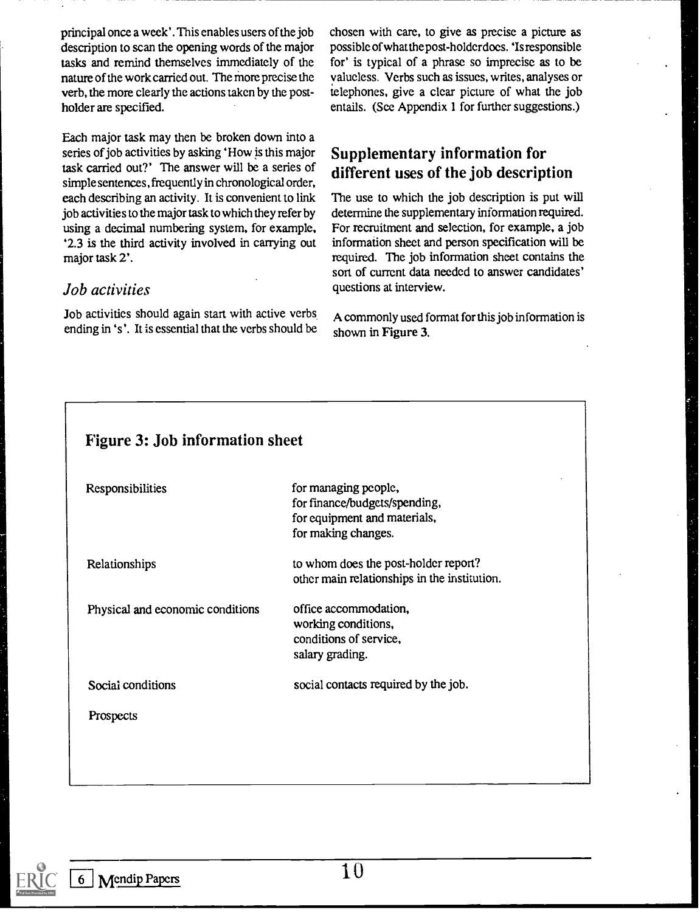principal once a week'. This enables users of the job description to scan the opening words of the major tasks and remind themselves immediately of the nature of the work carried out. The more precise the verb, the more clearly the actions taken by the postholder are specified.

Each major task may then be broken down into a series of job activities by asking 'How is this major task carried out?' The answer will be a series of simple sentences, frequently in chronological order, each describing an activity. It is convenient to link job activities to the major task to which they refer by using a decimal numbering system, for example, '2.3 is the third activity involved in carrying out major task 2'.

#### Job activities

Job activities should again start with active verbs ending in 's '. It is essential that the verbs should be chosen with care, to give as precise a picture as possible of what the post-holder does. 'Is responsible for' is typical of a phrase so imprecise as to be valueless. Verbs such as issues, writes, analyses or telephones, give a clear picture of what the job entails. (See Appendix 1 for further suggestions.)

#### Supplementary information for different uses of the job description

The use to which the job description is put will determine the supplementary information required. For recruitment and selection, for example, a job information sheet and person specification will be required. The job information sheet contains the sort of current data needed to answer candidates' questions at interview.

A commonly used format for this job information is shown in Figure 3.

| <b>Figure 3: Job information sheet</b> |                                                                                                              |  |  |
|----------------------------------------|--------------------------------------------------------------------------------------------------------------|--|--|
| Responsibilities                       | for managing people,<br>for finance/budgets/spending,<br>for equipment and materials,<br>for making changes. |  |  |
| Relationships                          | to whom does the post-holder report?<br>other main relationships in the institution.                         |  |  |
| Physical and economic conditions       | office accommodation,<br>working conditions,<br>conditions of service,<br>salary grading.                    |  |  |
| Social conditions                      | social contacts required by the job.                                                                         |  |  |
| Prospects                              |                                                                                                              |  |  |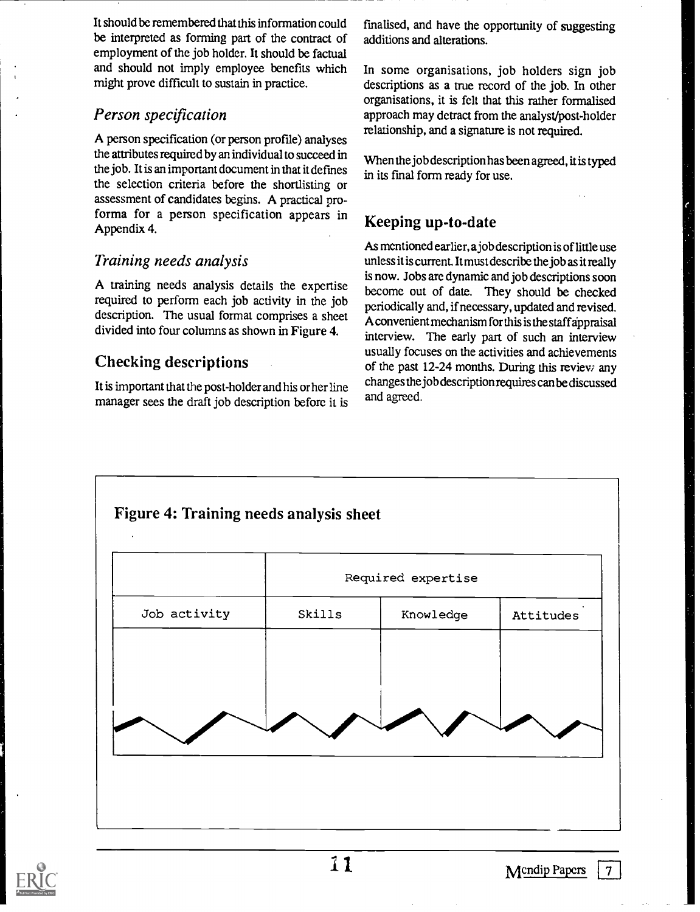It should be remembered that this information could be interpreted as forming part of the contract of employment of the job holder. It should be factual and should not imply employee benefits which might prove difficult to sustain in practice.

#### Person specification

A person specification (or person profile) analyses the attributes required by an individual to succeed in the job. It is an important document in that it defines the selection criteria before the shortlisting or assessment of candidates begins. A practical proforma for a person specification appears in Appendix 4.

#### Training needs analysis

A training needs analysis details the expertise required to perform each job activity in the job description. The usual format comprises a sheet divided into four columns as shown in Figure 4.

#### Checking descriptions

It is important that the post-holder and his or her line manager sees the draft job description before it is fmalised, and have the opportunity of suggesting additions and alterations.

In some organisations, job holders sign job descriptions as a true record of the job. In other organisations, it is felt that this rather formalised approach may detract from the analyst/post-holder relationship, and a signature is not required.

When the job description has been agreed, it is typed in its fmal form ready for use.

#### Keeping up-to-date

As mentioned earlier, a job description is of little use unless it is current. It must describe the job as it really is now. Jobs arc dynamic and job descriptions soon become out of date. They should be checked periodically and, if necessary, updated and revised. A convenient mechanism for this is the staff appraisal interview. The early part of such an interview usually focuses on the activities and achievements of the past 12-24 months. During this review any changes the job description requires can be discussed and agreed.



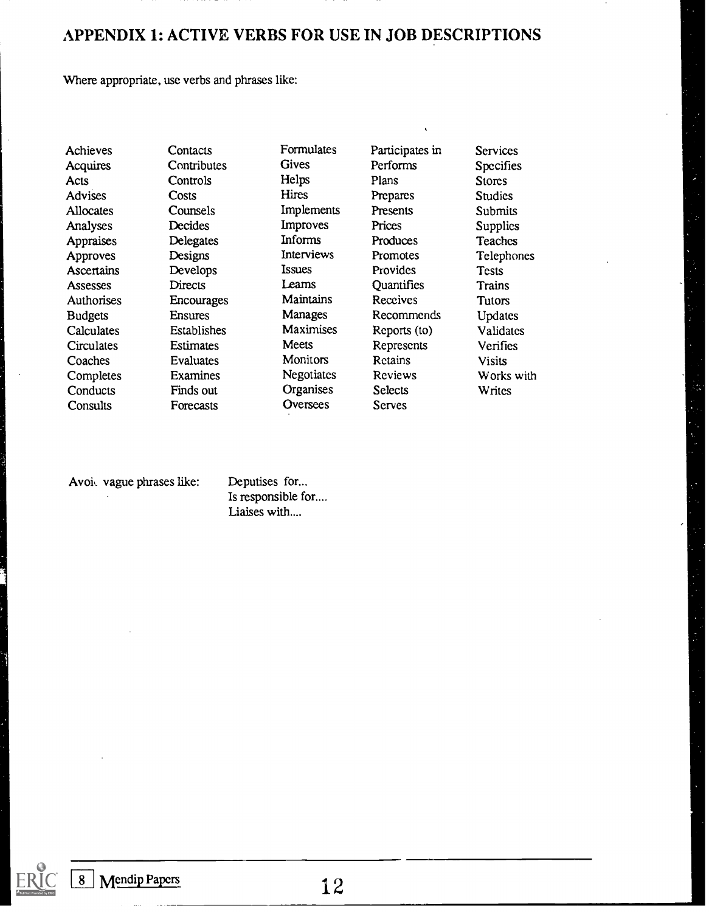#### APPENDIX 1: ACTIVE VERBS FOR USE IN JOB DESCRIPTIONS

Where appropriate, use verbs and phrases like:

Consults Forecasts Oversees Serves

Achieves Contacts Formulates Participates in Services<br>
Acquires Contributes Gives Performs Specifies Acquires Contributes Gives Performs Specifies Acts Controls Helps Plans Stores Advises Costs Hires Prepares Studies Allocates Counsels Implements Presents Submits Analyses Decides Improves Prices Supplies Appraises Delegates Informs Produces Teaches Approves Designs Interviews Promotes Telephones<br>Ascertains Develops Issues Provides Tests Ascertains Develops Issues Provides Tests Assesses Directs Learns Quantifies Trains Authorises Encourages Maintains Receives Tutors<br>Budgets Ensures Manages Recommends Updates Budgets Ensures Manages Recommends Updates<br>Calculates Establishes Maximises Reports (to) Validates Calculates Establishes Maximises Reports (to) Validates<br>Circulates Estimates Meets Represents Verifies Circulates Estimates Meets Represents Verifies Coaches Evaluates Monitors Retains Visits Completes Examines Negotiates Reviews Works with Conducts Finds out Organises Selects Writes

Avoi, vague phrases like: Deputises for...

Is responsible for.... Liaises with....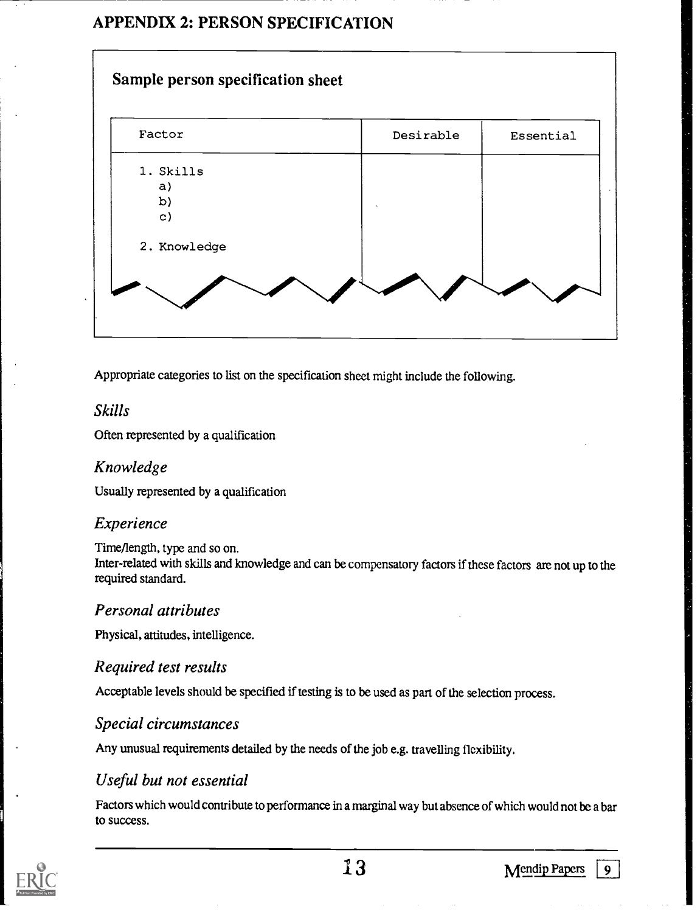#### APPENDIX 2: PERSON SPECIFICATION



Appropriate categories to list on the specification sheet might include the following.

#### Skills

Often represented by a qualification

#### Knowledge

Usually represented by a qualification

#### Experience

Time/length, type and so on. Inter-related with skills and knowledge and can be compensatory factors if these factors are not up to the required standard.

#### Personal attributes

Physical, attitudes, intelligence.

#### Required test results

Acceptable levels should be specified if testing is to be used as part of the selection process.

#### Special circumstances

Any unusual requirements detailed by the needs of the job e.g. travelling flexibility.

#### Useful but not essential

Factors which would contribute to performance in a marginal way but absence of which would not be a bar to success.

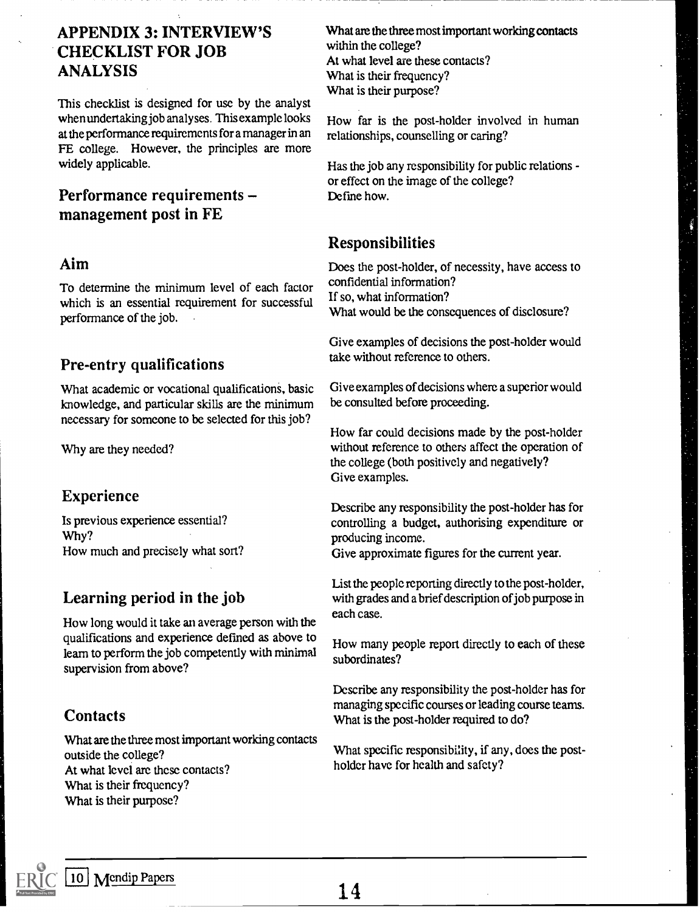#### APPENDIX 3: INTERVIEW'S CHECKLIST FOR JOB ANALYSIS

This checklist is designed for use by the analyst when undertaking job analyses. This example looks at the performance requirements for a manager in an FE college. However, the principles are more widely applicable.

#### Performance requirements management post in FE

#### Aim

To determine the minimum level of each factor which is an essential requirement for successful performance of the job.

#### Pre-entry qualifications

What academic or vocational qualifications, basic knowledge, and particular skills are the minimum necessary for someone to be selected for this job?

Why are they needed?

#### Experience

Is previous experience essential? Why? How much and precisely what sort?

#### Learning period in the job

How long would it take an average person with the qualifications and experience defmed as above to leam to perform the job competently with minimal supervision from above?

#### **Contacts**

What are the three most important working contacts outside the college? At what level are these contacts? What is their frequency? What is their purpose?

What are the three most important working contacts within the college? At what level are these contacts? What is their frequency? What is their purpose?

How far is the post-holder involved in human relationships, counselling or caring?

Has the job any responsibility for public relations or effect on the image of the college? Define how.

#### Responsibilities

Does the post-holder, of necessity, have access to confidential information? If so, what information? What would be the consequences of disclosure?

Give examples of decisions the post-holder would take without reference to others.

Give examples of decisions where a superior would be consulted before proceeding.

How far could decisions made by the post-holder without reference to others affect the operation of the college (both positively and negatively? Give examples.

Describe any responsibility the post-holder has for controlling a budget, authorising expenditure or producing income.

Give approximate figures for the current year.

List the people reporting directly to the post-holder, with grades and a brief description of job purpose in each case.

How many people report directly to each of these subordinates?

Describe any responsibility the post-holder has for managing specific courses or leading course teams. What is the post-holder required to do?

What specific responsibility, if any, does the postholder have for health and safety?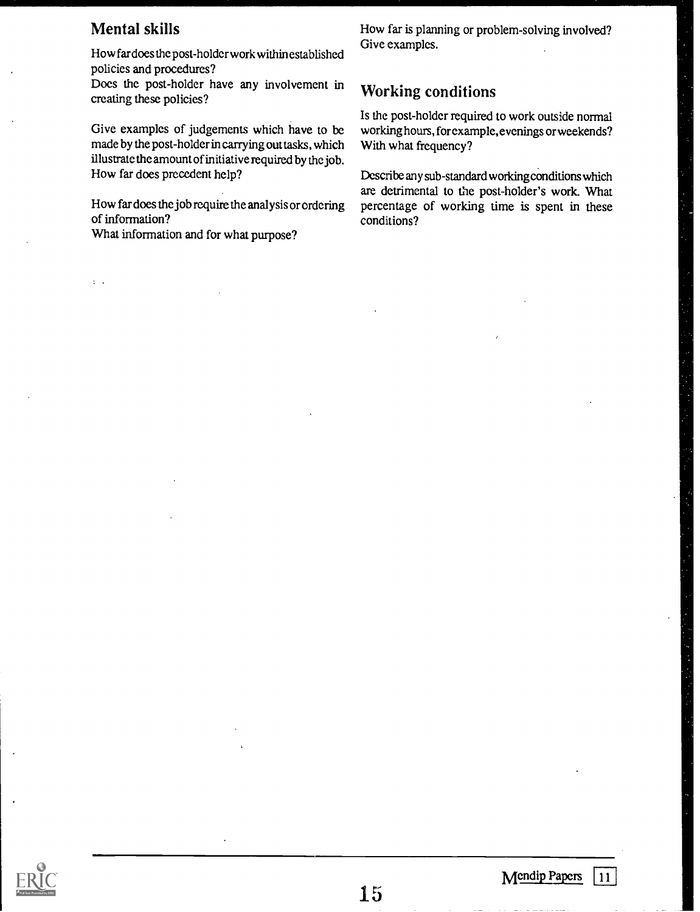#### Mental skills

 $\mathcal{L}=\mathcal{L}$ 

How far does the post-holder work within established policies and procedures?

Does the post-holder have any involvement in creating these policies?

Give examples of judgements which have to be made by the post-holder in carrying out tasks, which illustrate the amount of initiative required by the job. How far does precedent help?

How far does the job require the analysis or ordering of information?

What information and for what purpose?

How far is planning or problem-solving involved? Give examples.

#### Working conditions

Is the post-holder required to work outside normal working hours, for example, evenings or weekends? With what frequency?

Describe any sub-standard working conditions which are detrimental to the post-holder's work. What percentage of working time is spent in these conditions?

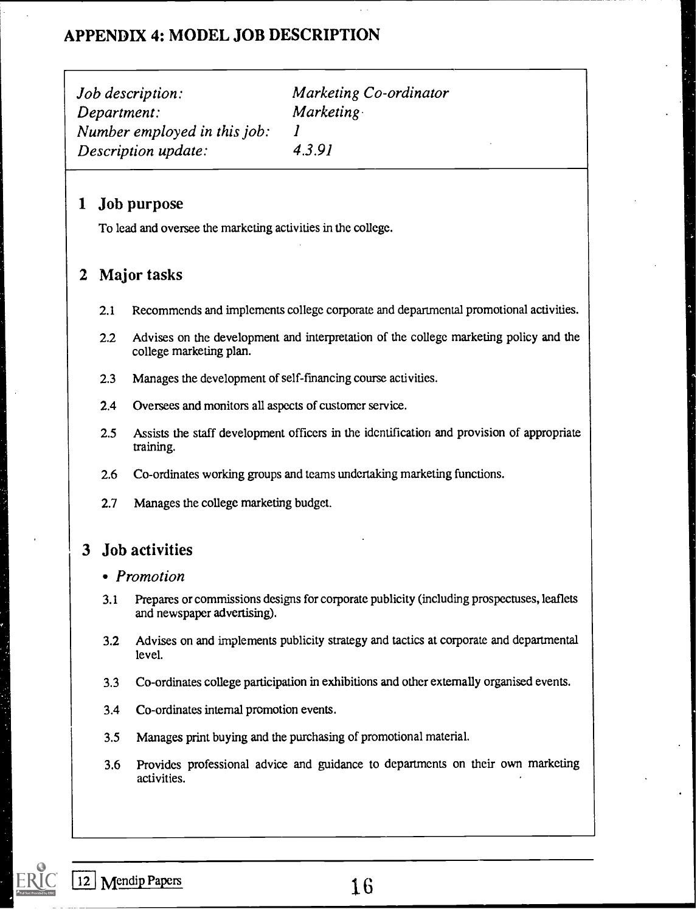#### APPENDIX 4: MODEL JOB DESCRIPTION

Job description: Marketing Co-ordinator Department: Marketing Number employed in this job:  $1$ Description update: 4.3.91

#### 1 Job purpose

To lead and oversee the marketing activities in the college.

#### 2 Major tasks

- 2.1 Recommends and implements college corporate and departmental promotional activities.
- 2.2 Advises on the development and interpretation of the college marketing policy and the college marketing plan.
- 2.3 Manages the development of self-financing course activities.
- 2.4 Oversees and monitors all aspects of customer service.
- 2.5 Assists the staff development officers in the identification and provision of appropriate training.
- 2.6 Co-ordinates working groups and teams undertaking marketing functions.
- 2.7 Manages the college marketing budget.

#### 3 Job activities

#### • Promotion

- 3.1 Prepares or commissions designs for corporate publicity (including prospectuses, leaflets and newspaper advertising).
- 3.2 Advises on and implements publicity strategy and tactics at corporate and departmental level.
- 3.3 Co-ordinates college participation in exhibitions and other externally organised events.
- 3.4 Co-ordinates internal promotion events.
- 3.5 Manages print buying and the purchasing of promotional material.
- 3.6 Provides professional advice and guidance to departments on their own marketing activities.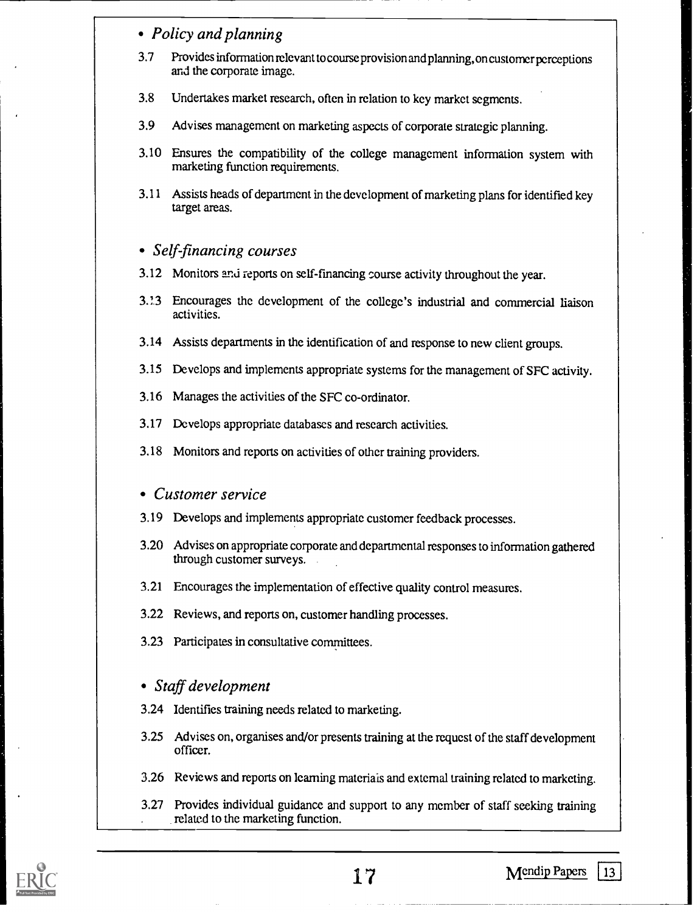#### • Policy and planning

- 3.7 Provides information relevant to course provision and plann ing, on customer perceptions and the corporate image.
- 3.8 Undertakes market research, often in relation to kcy market segments.
- 3.9 Advises management on marketing aspects of corporate strategic planning.
- 3.10 Ensures the compatibility of the college management information system with marketing function requirements.
- 3.11 Assists heads of department in the development of marketing plans for identified key target areas.

#### • Self-financing courses

- 3.12 Monitors anti reports on self-financing course activity throughout the year.
- 3.! 3 Encourages the development of the college's industrial and commercial liaison activities.
- 3.14 Assists departments in the identification of and response to new client groups.
- 3.15 Develops and implements appropriate systems for the management of SFC activity.
- 3.16 Manages the activities of the SFC co-ordinator.
- 3.17 Develops appropriate databases and research activities.
- 3.18 Monitors and reports on activities of other training providers.

#### Customer service

- 3.19 Develops and implements appropriate customer feedback processes.
- 3.20 Advises on appropriate corporate and departmental responses to information gathered through customer surveys.
- 3.21 Encourages the implementation of effective quality control measures.
- 3.22 Reviews, and reports on, customer handling processes.
- 3.23 Participates in consultative committees.

#### Staff development

- 3.24 Identifies training needs related to marketing.
- 3.25 Advises on, organises and/or presents training at the request of the staff development officer.
- 3.26 Reviews and reports on learning materials and external training related to marketing.
- 3.27 Provides individual guidance and support to any member of staff seeking training related to the marketing function.

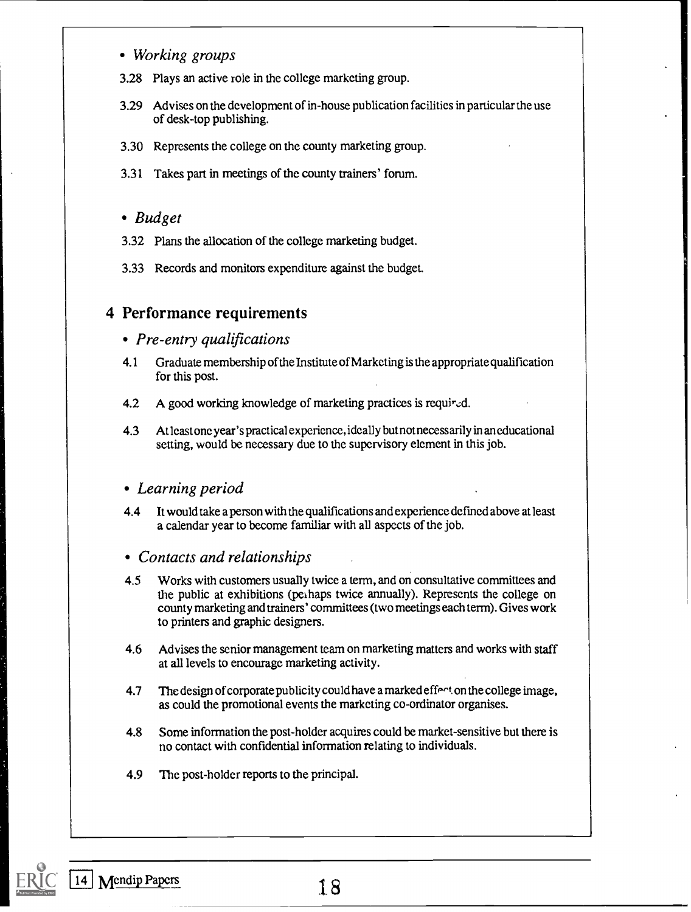- Working groups
- 3.28 Plays an active role in the college marketing group.
- 3.29 Advises on the development of in-house publication facilities in particular the use of desk-top publishing.
- 3.30 Represents the college on the county marketing group.
- 3.31 Takes part in meetings of the county trainers' forum.

#### • Budget

- 3.32 Plans the allocation of the college marketing budget.
- 3.33 Records and monitors expenditure against the budget.

#### 4 Performance requirements

#### • Pre-entry qualifications

- 4.1 Graduate membership of the Institute of Marketing is the appropriate qualification for this post.
- 4.2 A good working knowledge of marketing practices is required.
- 4.3 At least one year's practical experience, ideally but not necess arily in an educational setting, would be necessary due to the supervisory element in this job.

#### Learning period

4.4 It would take a person with the qualifications and experience defmed above at least a calendar year to become familiar with all aspects of the job.

#### Contacts and relationships

- 4.5 Works with customers usually twice a term, and on consultative committees and the public at exhibitions (pcihaps twice annually). Represents the college on county marketing and trainers' committees (two meetings each term). Gives work to printers and graphic designers.
- 4.6 Advises the senior management team on marketing matters and works with staff at all levels to encourage marketing activity.
- 4.7 The design of corporate publicity could have a marked effect on the college image. as could the promotional events the marketing co-ordinator organises.
- 4.8 Some information the post-holder acquires could be market-sensitive but there is no contact with confidential information relating to individuals.
- 4.9 Thc post-holder reports to the principal.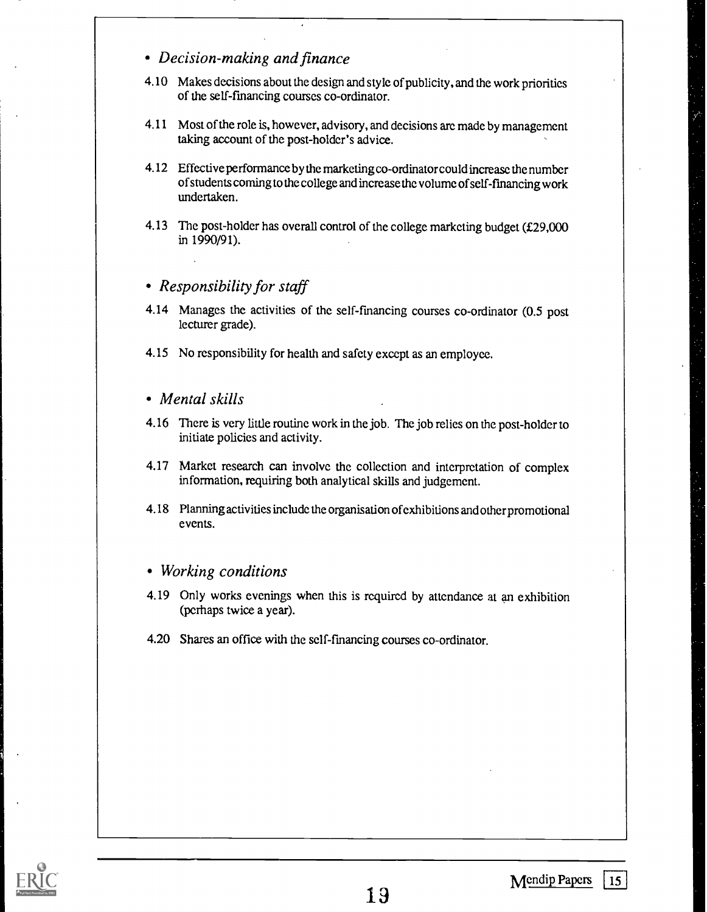- Decision-making and finance
- 4.10 Makes decisions about the design and style of publicity, and the work priorities of the self-fmancing courses co-ordinator.
- 4.11 Most of the role is, however, advisory, and decisions are made by management taking account of the post-holder's advice.
- 4.12 Effective performance by the marketing co-ordinator could increase the number of students coming to the college and increase thc volume of self-fmancing work undertaken.
- 4.13 The post-holder has overall control of the college marketing budget (£29,000 in 1990/91).

#### • Responsibility for staff

- 4.14 Manages the activities of the self-financing courses co-ordinator (0.5 post lecturer grade).
- 4.15 No responsibility for health and safety except as an employee.
- Mental skills
- 4.16 There is very little routine work in the job. The job relies on the post-holder to initiate policies and activity.
- 4.17 Market research can involve the collection and interpretation of complex information, requiring both analytical skills and judgement.
- 4.18 Planning activities include the organisation of exhibitions and other promotional events.

#### Working conditions

- 4.19 Only works evenings when this is required by attendance at an exhibition (perhaps twice a year).
- 4.20 Shares an office with the self-financing courses co-ordinator.

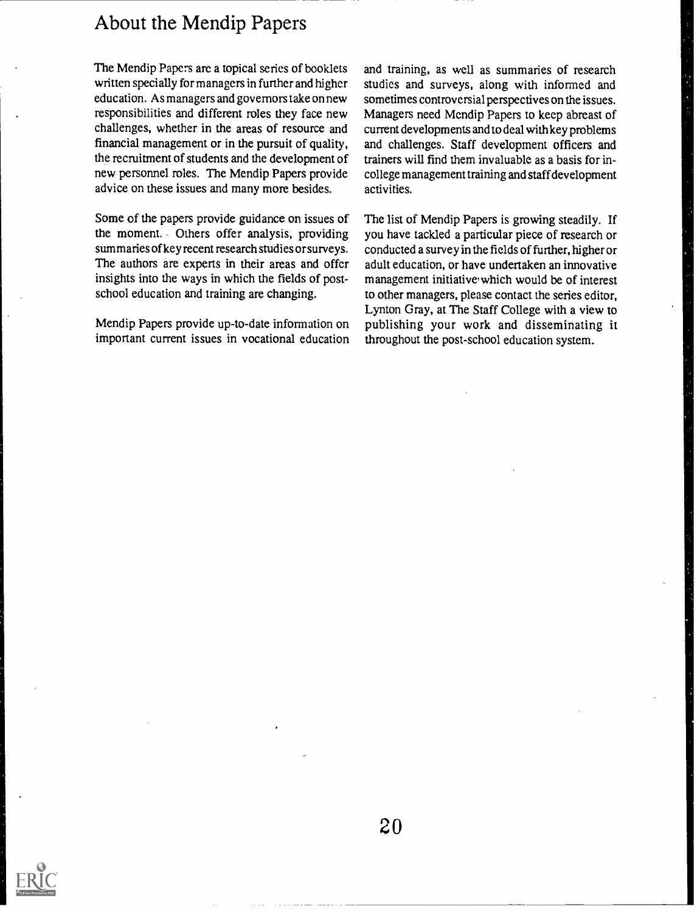#### About the Mendip Papers

The Mendip Papers arc a topical series of booklets written specially for managers in further and higher education. As managers and governors take on new responsibilities and different roles they face new challenges, whether in the areas of resource and financial management or in the pursuit of quality, the recruitment of students and the development of new personnel roles. The Mendip Papers provide advice on these issues and many more besides.

Some of the papers provide guidance on issues of the moment. Others offer analysis, providing summaries of key recent research studies or surveys. The authors are experts in their areas and offcr insights into the ways in which the fields of postschool education and training are changing.

Mendip Papers provide up-to-date information on important current issues in vocational education

and training, as well as summaries of research studies and surveys, along with informed and sometimes controversial perspectives on the issues. Managers need Mendip Papers to keep abreast of current developments and to deal with key problems and challenges. Staff development officers and trainers will find them invaluable as a basis for incollege management training and staff development activities.

The list of Mendip Papers is growing steadily. If you have tackled a particular piece of research or conducted a survey in the fields of further, higher or adult education, or have undertaken an innovative management initiative which would be of interest to other managers, please contact the series editor, Lynton Gray, at The Staff College with a view to publishing your work and disseminating it throughout the post-school education system.

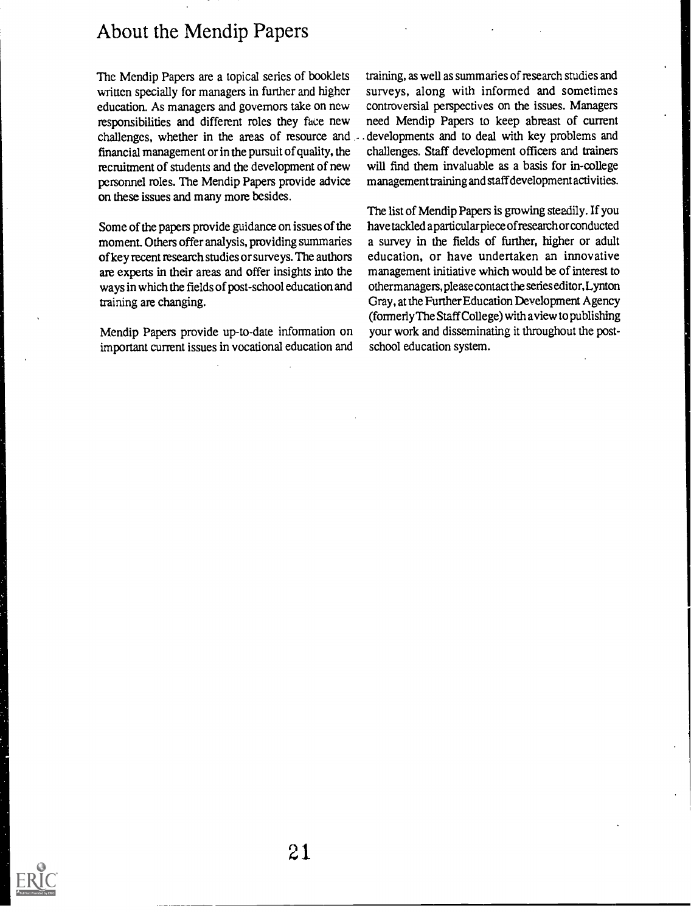#### About the Mendip Papers

The Mendip Papers are a topical series of booklets written specially for managers in further and higher education. As managers and governors take on new responsibilities and different roles they face new challenges, whether in the areas of resource and financial management or in the pursuit of quality, the recmitment of students and the development of new personnel roles. The Mendip Papers provide advice on these issues and many more besides.

Some of the papers provide guidance on issues of the moment Others offer analysis, providing summaries of key recent research studies or surveys. The authors are experts in their areas and offer insights into the ways in which the fields of post-school education and training are changing.

Mendip Papers provide up-to-date information on important current issues in vocational education and training, as well as summaries of research studies and surveys, along with informed and sometimes controversial perspectives on the issues. Managers need Mendip Papers to keep abreast of current . developments and to deal with key problems and challenges. Staff development officers and trainers will find them invaluable as a basis for in-college management training and staff development activities.

The list of Mendip Papers is growing steadily. If you have tackled a particular piece of research or conducted a survey in the fields of further, higher or adult education, or have undertaken an innovative management initiative which would be of interest to other manage rs, please contact the series editor, Lynton Gray, at the Further Education Development Agency (formerly The Staff College) with a view to publishing your work and disseminating it throughout the postschool education system.

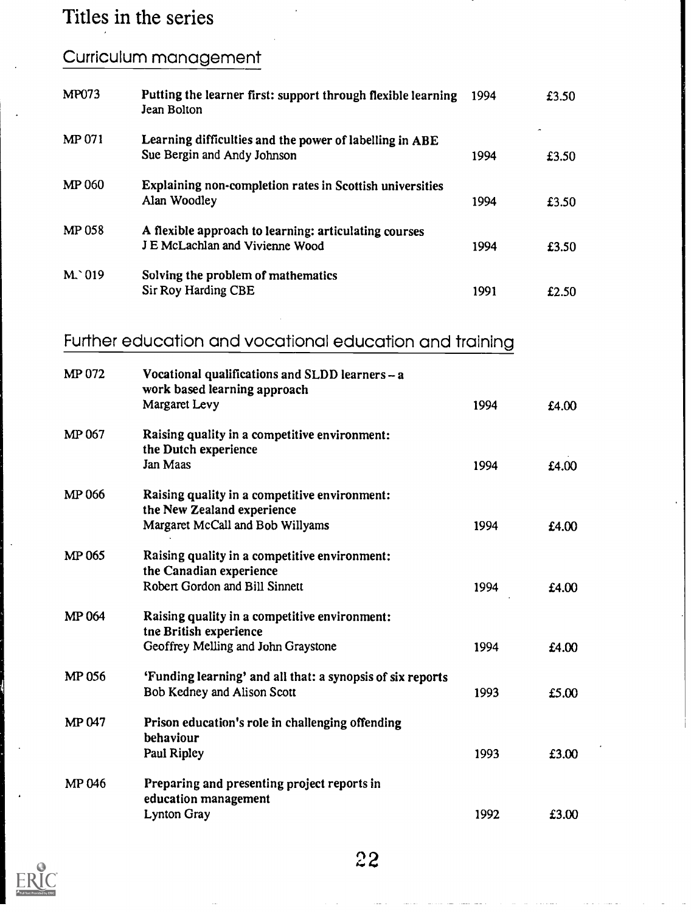## Titles in the series

### Curriculum management

| <b>MP073</b> | Putting the learner first: support through flexible learning<br>Jean Bolton              | 1994 | £3.50 |
|--------------|------------------------------------------------------------------------------------------|------|-------|
| MP 071       | Learning difficulties and the power of labelling in ABE<br>Sue Bergin and Andy Johnson   | 1994 | £3.50 |
| MP 060       | Explaining non-completion rates in Scottish universities<br>Alan Woodley                 | 1994 | £3.50 |
| MP 058       | A flexible approach to learning: articulating courses<br>J E McLachlan and Vivienne Wood | 1994 | £3.50 |
| $M^0$ 019    | Solving the problem of mathematics<br>Sir Roy Harding CBE                                | 1991 | £2.50 |

# Further education and vocational education and training

| MP 072 | Vocational qualifications and SLDD learners - a<br>work based learning approach           |      |       |  |
|--------|-------------------------------------------------------------------------------------------|------|-------|--|
|        | Margaret Levy                                                                             | 1994 | £4.00 |  |
| MP 067 | Raising quality in a competitive environment:<br>the Dutch experience                     |      |       |  |
|        | Jan Maas                                                                                  | 1994 | £4.00 |  |
| MP 066 | Raising quality in a competitive environment:<br>the New Zealand experience               |      |       |  |
|        | Margaret McCall and Bob Willyams                                                          | 1994 | £4.00 |  |
| MP 065 | Raising quality in a competitive environment:<br>the Canadian experience                  |      |       |  |
|        | Robert Gordon and Bill Sinnett                                                            | 1994 | £4.00 |  |
| MP 064 | Raising quality in a competitive environment:<br>tne British experience                   |      |       |  |
|        | Geoffrey Melling and John Graystone                                                       | 1994 | £4.00 |  |
| MP 056 | 'Funding learning' and all that: a synopsis of six reports<br>Bob Kedney and Alison Scott |      |       |  |
|        |                                                                                           | 1993 | £5.00 |  |
| MP 047 | Prison education's role in challenging offending<br>behaviour                             |      |       |  |
|        | Paul Ripley                                                                               | 1993 | £3.00 |  |
| MP 046 | Preparing and presenting project reports in<br>education management                       |      |       |  |
|        | <b>Lynton Gray</b>                                                                        | 1992 | £3.00 |  |

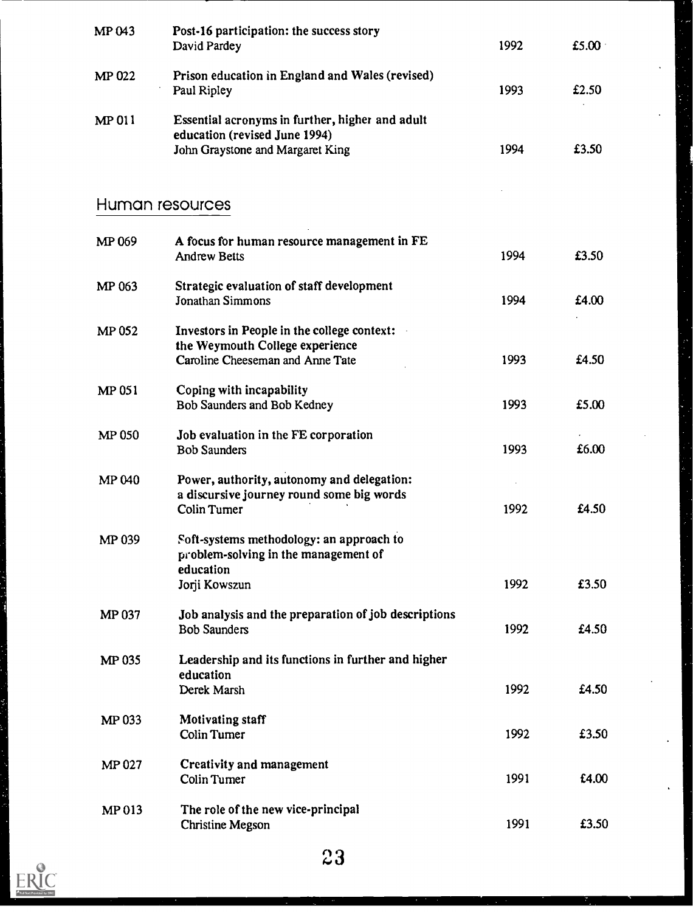| MP <sub>043</sub> | Post-16 participation: the success story<br>David Pardey                                                             | 1992         | £5.00 $\cdot$  |  |
|-------------------|----------------------------------------------------------------------------------------------------------------------|--------------|----------------|--|
| MP 022            | Prison education in England and Wales (revised)<br>Paul Ripley                                                       | 1993         | £2.50          |  |
| MP 011            | Essential acronyms in further, higher and adult<br>education (revised June 1994)<br>John Graystone and Margaret King | 1994         | £3.50          |  |
|                   | Human resources                                                                                                      |              |                |  |
| MP 069            | A focus for human resource management in FE<br><b>Andrew Betts</b>                                                   | 1994         | £3.50          |  |
| MP 063            | Strategic evaluation of staff development<br>Jonathan Simmons                                                        | 1994         | £4.00          |  |
| <b>MP 052</b>     | Investors in People in the college context:<br>the Weymouth College experience<br>Caroline Cheeseman and Anne Tate   | 1993         | £4.50          |  |
| MP 051            | Coping with incapability<br>Bob Saunders and Bob Kedney                                                              | 1993         | £5.00          |  |
| <b>MP 050</b>     | Job evaluation in the FE corporation<br><b>Bob Saunders</b>                                                          | 1993         | £6.00          |  |
| <b>MP040</b>      | Power, authority, autonomy and delegation:<br>a discursive journey round some big words<br>Colin Turner              | 1992         | £4.50          |  |
| MP 039            | Soft-systems methodology: an approach to<br>problem-solving in the management of<br>education                        |              |                |  |
| <b>MP037</b>      | Jorji Kowszun<br>Job analysis and the preparation of job descriptions<br><b>Bob Saunders</b>                         | 1992<br>1992 | £3.50<br>£4.50 |  |
| <b>MP 035</b>     | Leadership and its functions in further and higher<br>education<br>Derek Marsh                                       | 1992         | £4.50          |  |
| MP 033            | <b>Motivating staff</b><br><b>Colin Tumer</b>                                                                        | 1992         | £3.50          |  |
| <b>MP 027</b>     | <b>Creativity and management</b><br><b>Colin Tumer</b>                                                               | 1991         | £4.00          |  |
| MP 013            | The role of the new vice-principal<br><b>Christine Megson</b>                                                        | 1991         | £3.50          |  |



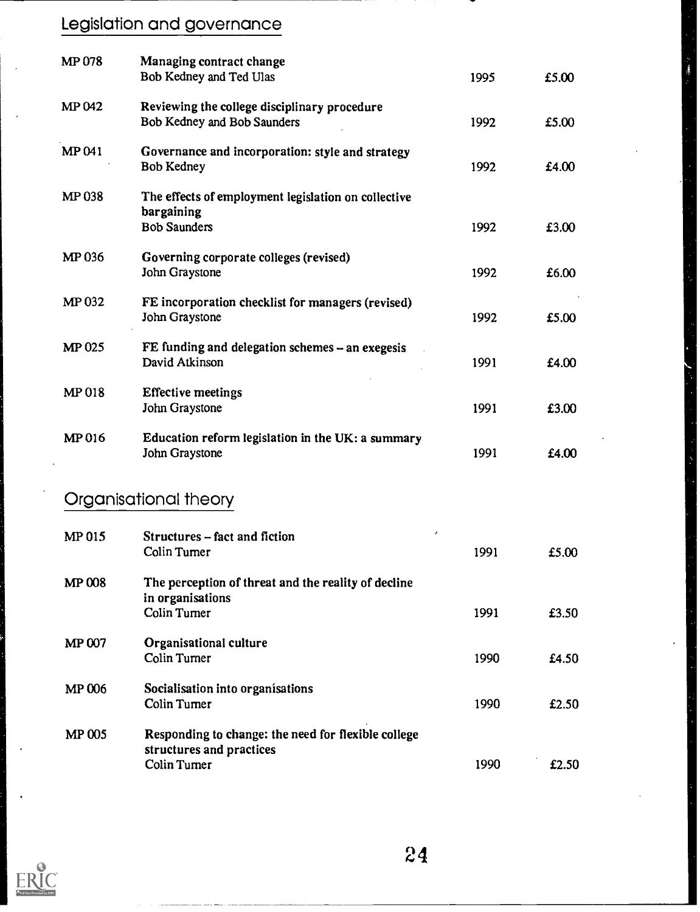# Legislation and governance

| <b>MP078</b>  | Managing contract change<br>Bob Kedney and Ted Ulas                                             | 1995 | £5.00 |
|---------------|-------------------------------------------------------------------------------------------------|------|-------|
| <b>MP042</b>  | Reviewing the college disciplinary procedure<br>Bob Kedney and Bob Saunders                     | 1992 | £5.00 |
| MP 041        | Governance and incorporation: style and strategy<br>Bob Kedney                                  | 1992 | £4.00 |
| MP 038        | The effects of employment legislation on collective<br>bargaining<br><b>Bob Saunders</b>        | 1992 | £3.00 |
| MP 036        | Governing corporate colleges (revised)<br>John Graystone                                        | 1992 | £6.00 |
| MP 032        | FE incorporation checklist for managers (revised)<br>John Graystone                             | 1992 | £5.00 |
| <b>MP 025</b> | FE funding and delegation schemes - an exegesis<br>David Atkinson                               | 1991 | £4.00 |
| <b>MP 018</b> | <b>Effective meetings</b><br>John Graystone                                                     | 1991 | £3.00 |
| MP 016        | Education reform legislation in the UK: a summary<br>John Graystone                             | 1991 | £4.00 |
|               | Organisational theory                                                                           |      |       |
| MP 015        | ,<br>Structures - fact and fiction<br>Colin Turner                                              | 1991 | £5.00 |
| <b>MP 008</b> | The perception of threat and the reality of decline<br>in organisations<br><b>Colin Turner</b>  | 1991 | £3.50 |
| MP 007        | Organisational culture<br><b>Colin Turner</b>                                                   | 1990 | £4.50 |
| <b>MP 006</b> | Socialisation into organisations<br><b>Colin Turner</b>                                         | 1990 | £2.50 |
| <b>MP 005</b> | Responding to change: the need for flexible college<br>structures and practices<br>Colin Turner | 1990 | £2.50 |



 $24$ 

Í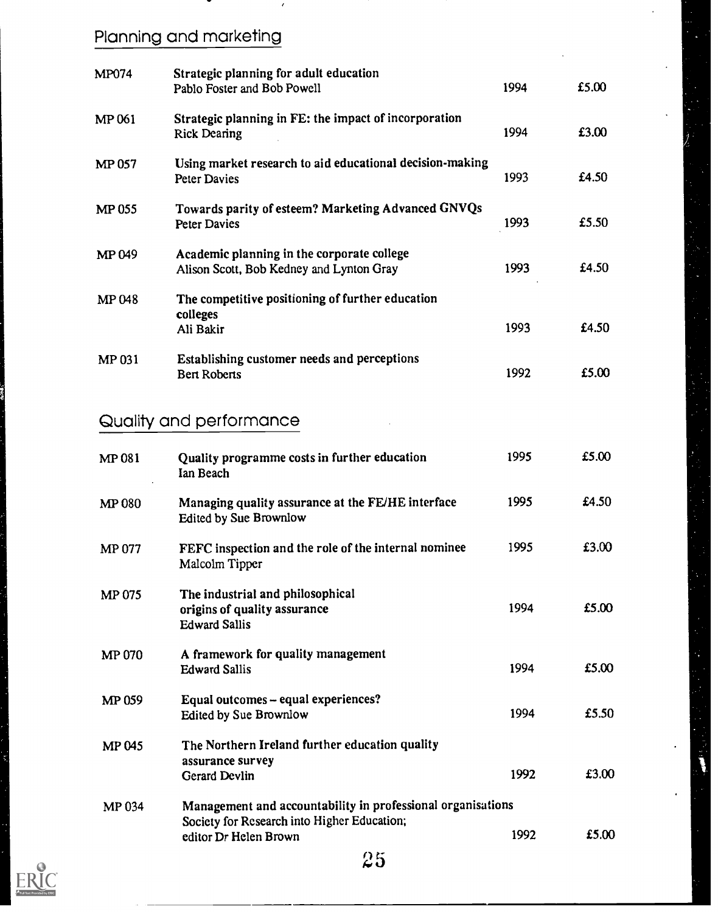# Planning and marketing

| <b>MP074</b>  | Strategic planning for adult education<br>Pablo Foster and Bob Powell                  | 1994 | £5.00 |
|---------------|----------------------------------------------------------------------------------------|------|-------|
| <b>MP 061</b> | Strategic planning in FE: the impact of incorporation<br><b>Rick Dearing</b>           | 1994 | £3.00 |
| MP 057        | Using market research to aid educational decision-making<br>Peter Davies               | 1993 | £4.50 |
| <b>MP 055</b> | Towards parity of esteem? Marketing Advanced GNVQs<br><b>Peter Davies</b>              | 1993 | £5.50 |
| MP 049        | Academic planning in the corporate college<br>Alison Scott, Bob Kedney and Lynton Gray | 1993 | £4.50 |
| <b>MP048</b>  | The competitive positioning of further education<br>colleges<br>Ali Bakir              | 1993 | £4.50 |
| <b>MP 031</b> | Establishing customer needs and perceptions<br><b>Bert Roberts</b>                     | 1992 | £5.00 |

## Quality and performance

| MP 081        | Quality programme costs in further education<br>Ian Beach                                                                           | 1995 | £5.00 |  |
|---------------|-------------------------------------------------------------------------------------------------------------------------------------|------|-------|--|
| MP 080        | Managing quality assurance at the FE/HE interface<br>Edited by Sue Brownlow                                                         | 1995 | £4.50 |  |
| MP 077        | FEFC inspection and the role of the internal nominee<br>Malcolm Tipper                                                              | 1995 | £3.00 |  |
| <b>MP 075</b> | The industrial and philosophical<br>origins of quality assurance<br><b>Edward Sallis</b>                                            | 1994 | £5.00 |  |
| <b>MP 070</b> | A framework for quality management<br><b>Edward Sallis</b>                                                                          | 1994 | £5.00 |  |
| MP 059        | Equal outcomes - equal experiences?<br>Edited by Sue Brownlow                                                                       | 1994 | £5.50 |  |
| <b>MP045</b>  | The Northern Ireland further education quality<br>assurance survey<br><b>Gerard Devlin</b>                                          | 1992 | £3.00 |  |
| MP 034        | Management and accountability in professional organisations<br>Society for Research into Higher Education;<br>editor Dr Helen Brown | 1992 | £5.00 |  |
|               | 25                                                                                                                                  |      |       |  |